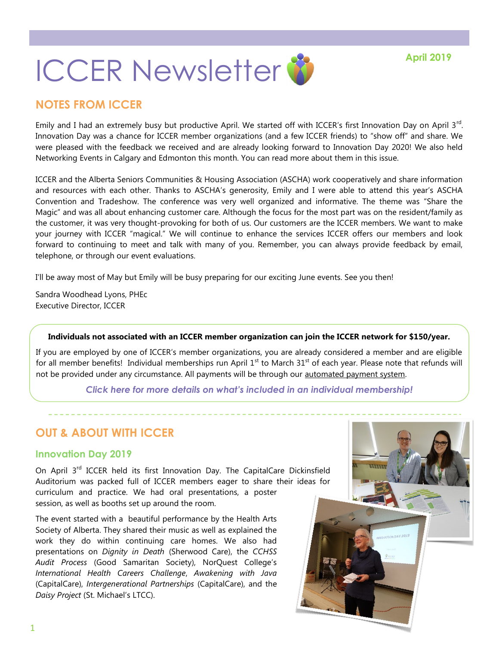

# **NOTES FROM ICCER**

Emily and I had an extremely busy but productive April. We started off with ICCER's first Innovation Day on April 3<sup>rd</sup>. Innovation Day was a chance for ICCER member organizations (and a few ICCER friends) to "show off" and share. We were pleased with the feedback we received and are already looking forward to Innovation Day 2020! We also held Networking Events in Calgary and Edmonton this month. You can read more about them in this issue.

ICCER and the Alberta Seniors Communities & Housing Association (ASCHA) work cooperatively and share information and resources with each other. Thanks to ASCHA's generosity, Emily and I were able to attend this year's ASCHA Convention and Tradeshow. The conference was very well organized and informative. The theme was "Share the Magic" and was all about enhancing customer care. Although the focus for the most part was on the resident/family as the customer, it was very thought-provoking for both of us. Our customers are the ICCER members. We want to make your journey with ICCER "magical." We will continue to enhance the services ICCER offers our members and look forward to continuing to meet and talk with many of you. Remember, you can always provide feedback by email, telephone, or through our event evaluations.

I'll be away most of May but Emily will be busy preparing for our exciting June events. See you then!

Sandra Woodhead Lyons, PHEc Executive Director, ICCER

#### **Individuals not associated with an ICCER member organization can join the ICCER network for \$150/year.**

If you are employed by one of ICCER's member organizations, you are already considered a member and are eligible for all member benefits! Individual memberships run April  $1<sup>st</sup>$  to March  $31<sup>st</sup>$  of each year. Please note that refunds will not be provided under any circumstance. All payments will be through our [automated payment system.](https://payment.augustana.ualberta.ca/store/Rehab+Medicine+-+ICCER+Store/)

*[Click here for more details on what's included in an individual membership!](http://iccer.ca/im.html)*

# **OUT & ABOUT WITH ICCER**

### **Innovation Day 2019**

On April 3<sup>rd</sup> ICCER held its first Innovation Day. The CapitalCare Dickinsfield Auditorium was packed full of ICCER members eager to share their ideas for curriculum and practice. We had oral presentations, a poster session, as well as booths set up around the room.

The event started with a beautiful performance by the Health Arts Society of Alberta. They shared their music as well as explained the work they do within continuing care homes. We also had presentations on *Dignity in Death* (Sherwood Care), the *CCHSS Audit Process* (Good Samaritan Society), NorQuest College's *International Health Careers Challenge*, *Awakening with Java*  (CapitalCare), *Intergenerational Partnerships* (CapitalCare), and the *Daisy Project* (St. Michael's LTCC).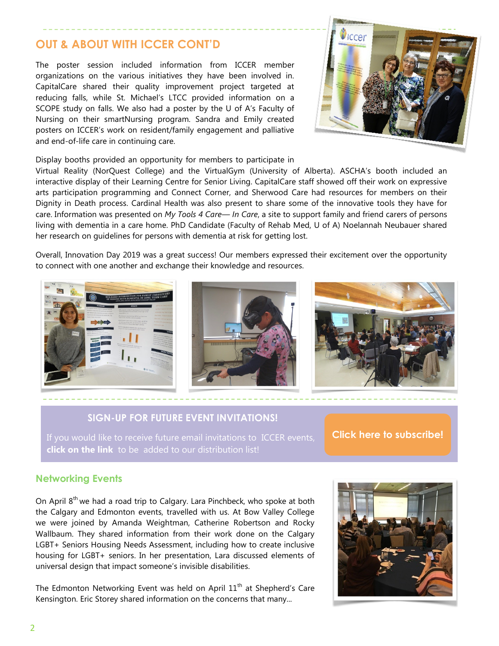# **OUT & ABOUT WITH ICCER CONT'D**

The poster session included information from ICCER member organizations on the various initiatives they have been involved in. CapitalCare shared their quality improvement project targeted at reducing falls, while St. Michael's LTCC provided information on a SCOPE study on falls. We also had a poster by the U of A's Faculty of Nursing on their smartNursing program. Sandra and Emily created posters on ICCER's work on resident/family engagement and palliative and end-of-life care in continuing care.



Display booths provided an opportunity for members to participate in

Virtual Reality (NorQuest College) and the VirtualGym (University of Alberta). ASCHA's booth included an interactive display of their Learning Centre for Senior Living. CapitalCare staff showed off their work on expressive arts participation programming and Connect Corner, and Sherwood Care had resources for members on their Dignity in Death process. Cardinal Health was also present to share some of the innovative tools they have for care. Information was presented on *My Tools 4 Care— In Care*, a site to support family and friend carers of persons living with dementia in a care home. PhD Candidate (Faculty of Rehab Med, U of A) Noelannah Neubauer shared her research on guidelines for persons with dementia at risk for getting lost.

Overall, Innovation Day 2019 was a great success! Our members expressed their excitement over the opportunity to connect with one another and exchange their knowledge and resources.



## **SIGN-UP FOR FUTURE EVENT INVITATIONS!**

**click on the link** to be added to our distribution list!

**[Click here to subscribe!](https://visitor.r20.constantcontact.com/manage/optin?v=001MqUcqqvjwLD850nipaor0HtdI1Y9d8ED2u9ivDzRV7Gp5uTyf2p54vfsufOQXL7BcGZnnLM-9yRAw3TIqncd_CNV4yZzfE9gE8XUs-KE6So%3D)**

### **Networking Events**

On April  $8<sup>th</sup>$  we had a road trip to Calgary. Lara Pinchbeck, who spoke at both the Calgary and Edmonton events, travelled with us. At Bow Valley College we were joined by Amanda Weightman, Catherine Robertson and Rocky Wallbaum. They shared information from their work done on the Calgary LGBT+ Seniors Housing Needs Assessment, including how to create inclusive housing for LGBT+ seniors. In her presentation, Lara discussed elements of universal design that impact someone's invisible disabilities.

The Edmonton Networking Event was held on April  $11<sup>th</sup>$  at Shepherd's Care Kensington. Eric Storey shared information on the concerns that many...

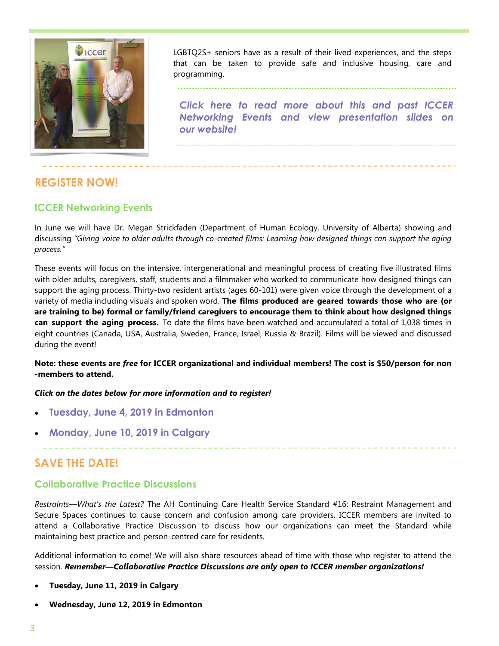

LGBTQ2S+ seniors have as a result of their lived experiences, and the steps that can be taken to provide safe and inclusive housing, care and programming.

*[Click here to read more about this and past ICCER](http://iccer.ca/speednetwork.html)  [Networking Events and view presentation slides on](http://iccer.ca/speednetwork.html)  [our website!](http://iccer.ca/speednetwork.html)*

# **REGISTER NOW!**

## **ICCER Networking Events**

In June we will have Dr. Megan Strickfaden (Department of Human Ecology, University of Alberta) showing and discussing *"Giving voice to older adults through co-created films: Learning how designed things can support the aging process."* 

These events will focus on the intensive, intergenerational and meaningful process of creating five illustrated films with older adults, caregivers, staff, students and a filmmaker who worked to communicate how designed things can support the aging process. Thirty-two resident artists (ages 60-101) were given voice through the development of a variety of media including visuals and spoken word. **The films produced are geared towards those who are (or are training to be) formal or family/friend caregivers to encourage them to think about how designed things can support the aging process.** To date the films have been watched and accumulated a total of 1,038 times in eight countries (Canada, USA, Australia, Sweden, France, Israel, Russia & Brazil). Films will be viewed and discussed during the event!

#### **Note: these events are** *free* **for ICCER organizational and individual members! The cost is \$50/person for non -members to attend.**

#### *Click on the dates below for more information and to register!*

- **[Tuesday, June 4, 2019 in Edmonton](http://events.constantcontact.com/register/event?llr=hnncpkfab&oeidk=a07eg9zy1xw34bbb0bc)**
- **[Monday, June 10, 2019 in Calgary](http://events.constantcontact.com/register/event?llr=hnncpkfab&oeidk=a07ega06qxc413c3bc8)**

# **SAVE THE DATE!**

## **Collaborative Practice Discussions**

*Restraints—What's the Latest?* The AH Continuing Care Health Service Standard #16: Restraint Management and Secure Spaces continues to cause concern and confusion among care providers. ICCER members are invited to attend a Collaborative Practice Discussion to discuss how our organizations can meet the Standard while maintaining best practice and person-centred care for residents.

Additional information to come! We will also share resources ahead of time with those who register to attend the session. *Remember—Collaborative Practice Discussions are only open to ICCER member organizations!*

- **Tuesday, June 11, 2019 in Calgary**
- **Wednesday, June 12, 2019 in Edmonton**